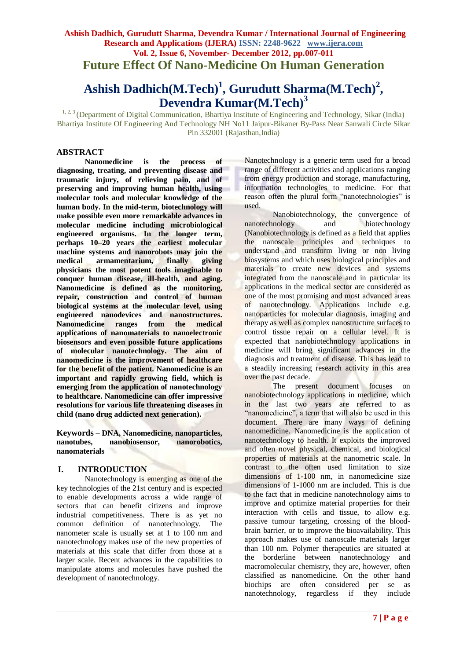## **Ashish Dadhich, Gurudutt Sharma, Devendra Kumar / International Journal of Engineering Research and Applications (IJERA) ISSN: 2248-9622 www.ijera.com Vol. 2, Issue 6, November- December 2012, pp.007-011 Future Effect Of Nano-Medicine On Human Generation**

# **Ashish Dadhich(M.Tech)<sup>1</sup> , Gurudutt Sharma(M.Tech)<sup>2</sup> , Devendra Kumar(M.Tech)<sup>3</sup>**

<sup>1, 2, 3</sup> (Department of Digital Communication, Bhartiya Institute of Engineering and Technology, Sikar (India) Bhartiya Institute Of Engineering And Technology NH No11 Jaipur-Bikaner By-Pass Near Sanwali Circle Sikar Pin 332001 (Rajasthan,India)

### **ABSTRACT**

**Nanomedicine is the process of diagnosing, treating, and preventing disease and traumatic injury, of relieving pain, and of preserving and improving human health, using molecular tools and molecular knowledge of the human body. In the mid-term, biotechnology will make possible even more remarkable advances in molecular medicine including microbiological engineered organisms. In the longer term, perhaps 10–20 years the earliest molecular**  machine systems and nanorobots may join the medical armamentarium, finally giving **medical armamentarium, finally giving physicians the most potent tools imaginable to conquer human disease, ill-health, and aging. Nanomedicine is defined as the monitoring, repair, construction and control of human biological systems at the molecular level, using engineered nanodevices and nanostructures. Nanomedicine ranges from the medical applications of nanomaterials to nanoelectronic biosensors and even possible future applications of molecular nanotechnology. The aim of nanomedicine is the improvement of healthcare for the benefit of the patient. Nanomedicine is an important and rapidly growing field, which is emerging from the application of nanotechnology to healthcare. Nanomedicine can offer impressive resolutions for various life threatening diseases in child (nano drug addicted next generation).**

**Keywords – DNA, Nanomedicine, nanoparticles, nanotubes, nanobiosensor, nanorobotics, nanomaterials**

#### **I. INTRODUCTION**

Nanotechnology is emerging as one of the key technologies of the 21st century and is expected to enable developments across a wide range of sectors that can benefit citizens and improve industrial competitiveness. There is as yet no common definition of nanotechnology. The nanometer scale is usually set at 1 to 100 nm and nanotechnology makes use of the new properties of materials at this scale that differ from those at a larger scale. Recent advances in the capabilities to manipulate atoms and molecules have pushed the development of nanotechnology.

Nanotechnology is a generic term used for a broad range of different activities and applications ranging from energy production and storage, manufacturing, information technologies to medicine. For that reason often the plural form "nanotechnologies" is used.

Nanobiotechnology, the convergence of nanotechnology and biotechnology (Nanobiotechnology is defined as a field that applies the nanoscale principles and techniques to understand and transform living or non living biosystems and which uses biological principles and materials to create new devices and systems integrated from the nanoscale and in particular its applications in the medical sector are considered as one of the most promising and most advanced areas of nanotechnology. Applications include e.g. nanoparticles for molecular diagnosis, imaging and therapy as well as complex nanostructure surfaces to control tissue repair on a cellular level. It is expected that nanobiotechnology applications in medicine will bring significant advances in the diagnosis and treatment of disease. This has lead to a steadily increasing research activity in this area over the past decade.

The present document focuses on nanobiotechnology applications in medicine, which in the last two years are referred to as "nanomedicine", a term that will also be used in this document. There are many ways of defining nanomedicine. Nanomedicine is the application of nanotechnology to health. It exploits the improved and often novel physical, chemical, and biological properties of materials at the nanometric scale. In contrast to the often used limitation to size dimensions of 1-100 nm, in nanomedicine size dimensions of 1-1000 nm are included. This is due to the fact that in medicine nanotechnology aims to improve and optimize material properties for their interaction with cells and tissue, to allow e.g. passive tumour targeting, crossing of the bloodbrain barrier, or to improve the bioavailability. This approach makes use of nanoscale materials larger than 100 nm. Polymer therapeutics are situated at the borderline between nanotechnology and macromolecular chemistry, they are, however, often classified as nanomedicine. On the other hand biochips are often considered per se as nanotechnology, regardless if they include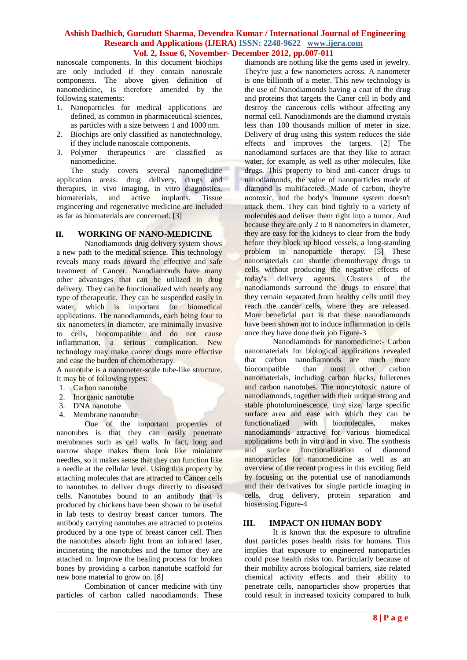nanoscale components. In this document biochips are only included if they contain nanoscale components. The above given definition of nanomedicine, is therefore amended by the following statements:

- 1. Nanoparticles for medical applications are defined, as common in pharmaceutical sciences, as particles with a size between 1 and 1000 nm.
- 2. Biochips are only classified as nanotechnology, if they include nanoscale components.
- 3. Polymer therapeutics are classified as nanomedicine.

The study covers several nanomedicine application areas: drug delivery, drugs and therapies, in vivo imaging, in vitro diagnostics, biomaterials, and active implants. Tissue engineering and regenerative medicine are included as far as biomaterials are concerned. [3]

#### **II. WORKING OF NANO-MEDICINE**

Nanodiamonds drug delivery system shows a new path to the medical science. This technology reveals many roads toward the effective and safe treatment of Cancer. Nanodiamonds have many other advantages that can be utilized in drug delivery. They can be functionalized with nearly any type of therapeutic. They can be suspended easily in water, which is important for biomedical applications. The nanodiamonds, each being four to six nanometers in diameter, are minimally invasive to cells, biocompatible and do not cause inflammation, a serious complication. New technology may make cancer drugs more effective and ease the burden of chemotherapy.

A nanotube is a nanometer-scale tube-like structure. It may be of following types:

- 1. Carbon nanotube
- 2. Inorganic nanotube
- 3. DNA nanotube
- 4. Membrane nanotube

One of the important properties of nanotubes is that they can easily penetrate membranes such as cell walls. In fact, long and narrow shape makes them look like miniature needles, so it makes sense that they can function like a needle at the cellular level. Using this property by attaching molecules that are attracted to Cancer cells to nanotubes to deliver drugs directly to diseased cells. Nanotubes bound to an antibody that is produced by chickens have been shown to be useful in lab tests to destroy breast cancer tumors. The antibody carrying nanotubes are attracted to proteins produced by a one type of breast cancer cell. Then the nanotubes absorb light from an infrared laser, incinerating the nanotubes and the tumor they are attached to. Improve the healing process for broken bones by providing a carbon nanotube scaffold for new bone material to grow on. [8]

Combination of cancer medicine with tiny particles of carbon called nanodiamonds. These diamonds are nothing like the gems used in jewelry. They're just a few nanometers across. A nanometer is one billionth of a meter. This new technology is the use of Nanodiamonds having a coat of the drug and proteins that targets the Caner cell in body and destroy the cancerous cells without affecting any normal cell. Nanodiamonds are the diamond crystals less than 100 thousands million of meter in size. Delivery of drug using this system reduces the side effects and improves the targets. [2] The nanodiamond surfaces are that they like to attract water, for example, as well as other molecules, like drugs. This property to bind anti-cancer drugs to nanodiamonds, the value of nanoparticles made of diamond is multifaceted. Made of carbon, they're nontoxic, and the body's immune system doesn't attack them. They can bind tightly to a variety of molecules and deliver them right into a tumor. And because they are only 2 to 8 nanometers in diameter, they are easy for the kidneys to clear from the body before they block up blood vessels, a long-standing problem in nanoparticle therapy. [5] These nanomaterials can shuttle chemotherapy drugs to cells without producing the negative effects of today's delivery agents. Clusters of the agents. Clusters of the nanodiamonds surround the drugs to ensure that they remain separated from healthy cells until they reach the cancer cells, where they are released. More beneficial part is that these nanodiamonds have been shown not to induce inflammation in cells once they have done their job Figure-3

Nanodiamonds for nanomedicine:- Carbon nanomaterials for biological applications revealed that carbon nanodiamonds are much more<br>biocompatible than most other carbon biocompatible than most other nanomaterials, including carbon blacks, fullerenes and carbon nanotubes. The noncytotoxic nature of nanodiamonds, together with their unique strong and stable photoluminescence, tiny size, large specific surface area and ease with which they can be functionalized with biomolecules, makes nanodiamonds attractive for various biomedical applications both in vitro and in vivo. The synthesis and surface functionalization of diamond nanoparticles for nanomedicine as well as an overview of the recent progress in this exciting field by focusing on the potential use of nanodiamonds and their derivatives for single particle imaging in cells, drug delivery, protein separation and biosensing.Figure-4

#### **III. IMPACT ON HUMAN BODY**

It is known that the exposure to ultrafine dust particles poses health risks for humans. This implies that exposure to engineered nanoparticles could pose health risks too. Particularly because of their mobility across biological barriers, size related chemical activity effects and their ability to penetrate cells, nanoparticles show properties that could result in increased toxicity compared to bulk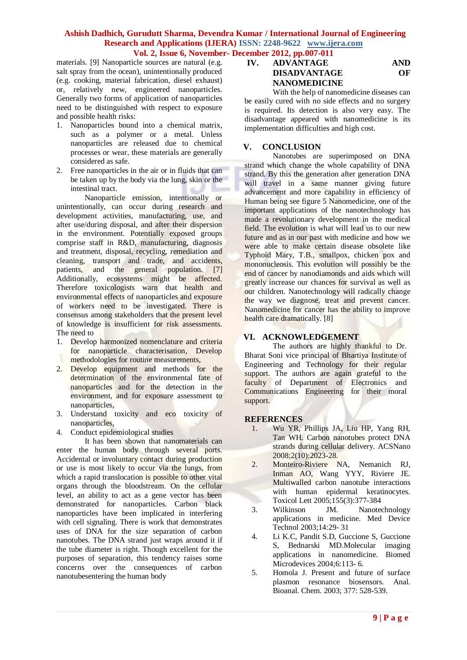materials. [9] Nanoparticle sources are natural (e.g. salt spray from the ocean), unintentionally produced (e.g. cooking, material fabrication, diesel exhaust) or, relatively new, engineered nanoparticles. Generally two forms of application of nanoparticles need to be distinguished with respect to exposure and possible health risks:

- 1. Nanoparticles bound into a chemical matrix, such as a polymer or a metal. Unless nanoparticles are released due to chemical processes or wear, these materials are generally considered as safe.
- 2. Free nanoparticles in the air or in fluids that can be taken up by the body via the lung, skin or the intestinal tract.

Nanoparticle emission, intentionally or unintentionally, can occur during research and development activities, manufacturing, use, and after use/during disposal, and after their dispersion in the environment. Potentially exposed groups comprise staff in R&D, manufacturing, diagnosis and treatment, disposal, recycling, remediation and cleaning, transport and trade, and accidents, patients, and the general population. [7] Additionally, ecosystems might be affected. Therefore toxicologists warn that health and environmental effects of nanoparticles and exposure of workers need to be investigated. There is consensus among stakeholders that the present level of knowledge is insufficient for risk assessments. The need to

- 1. Develop harmonized nomenclature and criteria for nanoparticle characterisation, Develop methodologies for routine measurements,
- 2. Develop equipment and methods for the determination of the environmental fate of nanoparticles and for the detection in the environment, and for exposure assessment to nanoparticles,
- 3. Understand toxicity and eco toxicity of nanoparticles,
- 4. Conduct epidemiological studies

It has been shown that nanomaterials can enter the human body through several ports. Accidental or involuntary contact during production or use is most likely to occur via the lungs, from which a rapid translocation is possible to other vital organs through the bloodstream. On the cellular level, an ability to act as a gene vector has been demonstrated for nanoparticles. Carbon black nanoparticles have been implicated in interfering with cell signaling. There is work that demonstrates uses of DNA for the size separation of carbon nanotubes. The DNA strand just wraps around it if the tube diameter is right. Though excellent for the purposes of separation, this tendency raises some concerns over the consequences of carbon nanotubesentering the human body

## **IV. ADVANTAGE AND DISADVANTAGE OF NANOMEDICINE**

With the help of nanomedicine diseases can be easily cured with no side effects and no surgery is required. Its detection is also very easy. The disadvantage appeared with nanomedicine is its implementation difficulties and high cost.

## **V. CONCLUSION**

Nanotubes are superimposed on DNA strand which change the whole capability of DNA strand. By this the generation after generation DNA will travel in a same manner giving future advancement and more capability in efficiency of Human being see figure 5 Nanomedicine, one of the important applications of the nanotechnology has made a revolutionary development in the medical field. The evolution is what will lead us to our new future and as in our past with medicine and how we were able to make certain disease obsolete like Typhoid Mary, T.B., smallpox, chicken pox and mononucleosis. This evolution will possibly be the end of cancer by nanodiamonds and aids which will greatly increase our chances for survival as well as our children. Nanotechnology will radically change the way we diagnose, treat and prevent cancer. Nanomedicine for cancer has the ability to improve health care dramatically. [8]

## **VI. ACKNOWLEDGEMENT**

The authors are highly thankful to Dr. Bharat Soni vice principal of Bhartiya Institute of Engineering and Technology for their regular support. The authors are again grateful to the faculty of Department of Electronics and Communications Engineering for their moral support.

## **REFERENCES**

- 1. Wu YR, Phillips JA, Liu HP, Yang RH, Tan WH. Carbon nanotubes protect DNA strands during cellular delivery. ACSNano 2008;2(10):2023-28.
- 2. Monteiro-Riviere NA, Nemanich RJ, Inman AO, Wang YYY, Riviere JE. Multiwalled carbon nanotube interactions with human epidermal keratinocytes. Toxicol Lett 2005;155(3):377-384
- 3. Wilkinson JM. Nanotechnology applications in medicine. Med Device Technol 2003;14:29- 31
- 4. Li K.C, Pandit S.D, Guccione S, Guccione S, Bednarski MD.Molecular imaging applications in nanomedicine. Biomed Microdevices 2004;6:113- 6.
- 5. Homola J. Present and future of surface plasmon resonance biosensors. Anal. Bioanal. Chem. 2003; 377: 528-539.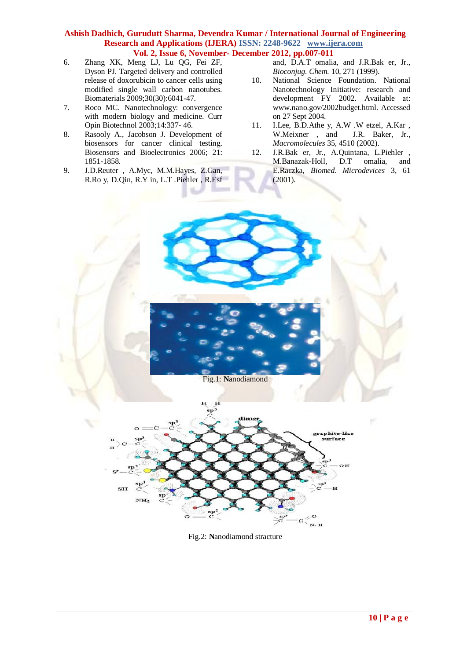- 6. Zhang XK, Meng LJ, Lu QG, Fei ZF, Dyson PJ. Targeted delivery and controlled release of doxorubicin to cancer cells using modified single wall carbon nanotubes. Biomaterials 2009;30(30):6041-47.
- 7. Roco MC. Nanotechnology: convergence with modern biology and medicine. Curr Opin Biotechnol 2003;14:337- 46.
- 8. Rasooly A., Jacobson J. Development of biosensors for cancer clinical testing. Biosensors and Bioelectronics 2006; 21: 1851-1858.
- 9. J.D.Reuter , A.Myc, M.M.Hayes, Z.Gan, R.Ro y, D.Qin, R.Y in, L.T .Piehler , R.Esf

and, D.A.T omalia, and J.R.Bak er, Jr., *Bioconjug. Chem.* 10, 271 (1999).

- 10. National Science Foundation. National Nanotechnology Initiative: research and development FY 2002. Available at: www.nano.gov/2002budget.html. Accessed on 27 Sept 2004.
- 11. I.Lee, B.D.Athe y, A.W .W etzel, A.Kar , W.Meixner , and J.R. Baker, Jr., *Macromolecules* 35, 4510 (2002).
- 12. J.R.Bak er, Jr., A.Quintana, L.Piehler , M.Banazak-Holl, D.T omalia, and E.Raczka, *Biomed. Microdevices* 3, 61 (2001).



Fig.2: **N**anodiamond stracture